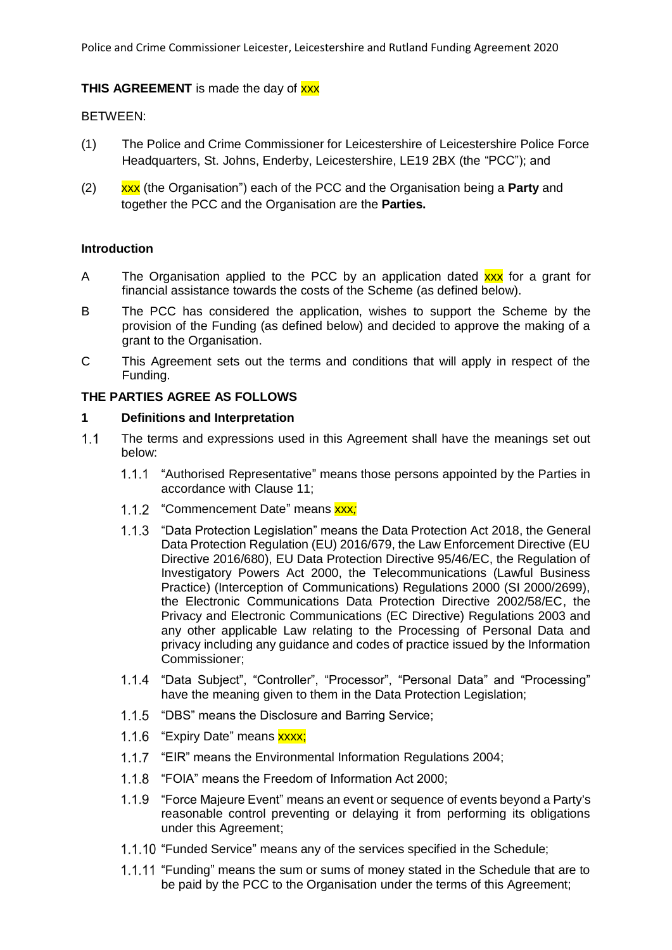## **THIS AGREEMENT** is made the day of **xxx**

### BETWEEN:

- (1) The Police and Crime Commissioner for Leicestershire of Leicestershire Police Force Headquarters, St. Johns, Enderby, Leicestershire, LE19 2BX (the "PCC"); and
- (2) xxx (the Organisation") each of the PCC and the Organisation being a **Party** and together the PCC and the Organisation are the **Parties.**

### **Introduction**

- A The Organisation applied to the PCC by an application dated **xxx** for a grant for financial assistance towards the costs of the Scheme (as defined below).
- B The PCC has considered the application, wishes to support the Scheme by the provision of the Funding (as defined below) and decided to approve the making of a grant to the Organisation.
- C This Agreement sets out the terms and conditions that will apply in respect of the Funding.

## **THE PARTIES AGREE AS FOLLOWS**

# **1 Definitions and Interpretation**

- $1.1$ The terms and expressions used in this Agreement shall have the meanings set out below:
	- 1.1.1 "Authorised Representative" means those persons appointed by the Parties in accordance with Clause [11;](#page-7-0)
	- 1.1.2 "Commencement Date" means xxx;
	- 1.1.3 "Data Protection Legislation" means the Data Protection Act 2018, the General Data Protection Regulation (EU) 2016/679, the Law Enforcement Directive (EU Directive 2016/680), EU Data Protection Directive 95/46/EC, the Regulation of Investigatory Powers Act 2000, the Telecommunications (Lawful Business Practice) (Interception of Communications) Regulations 2000 (SI 2000/2699), the Electronic Communications Data Protection Directive 2002/58/EC, the Privacy and Electronic Communications (EC Directive) Regulations 2003 and any other applicable Law relating to the Processing of Personal Data and privacy including any guidance and codes of practice issued by the Information Commissioner;
	- 1.1.4 "Data Subject", "Controller", "Processor", "Personal Data" and "Processing" have the meaning given to them in the Data Protection Legislation;
	- 1.1.5 "DBS" means the Disclosure and Barring Service;
	- 1.1.6 "Expiry Date" means xxxx;
	- $1.1.7$ "EIR" means the Environmental Information Regulations 2004;
	- $1.1.8$ "FOIA" means the Freedom of Information Act 2000;
	- 1.1.9 "Force Majeure Event" means an event or sequence of events beyond a Party's reasonable control preventing or delaying it from performing its obligations under this Agreement;
	- 1.1.10 "Funded Service" means any of the services specified in the Schedule;
	- 1.1.11 "Funding" means the sum or sums of money stated in the Schedule that are to be paid by the PCC to the Organisation under the terms of this Agreement;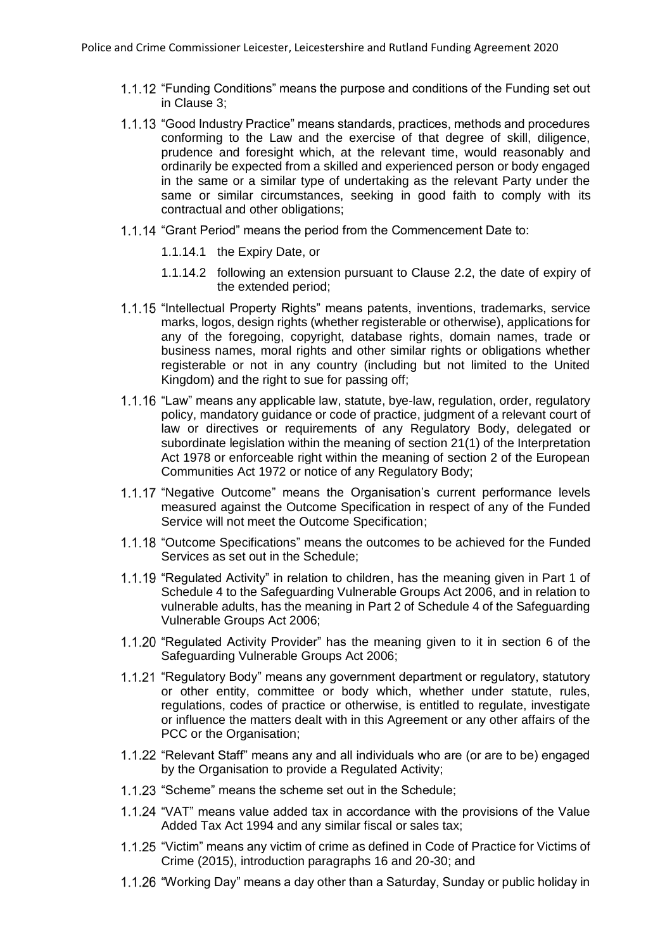- 1.1.12 "Funding Conditions" means the purpose and conditions of the Funding set out in Clause [3;](#page-2-0)
- "Good Industry Practice" means standards, practices, methods and procedures conforming to the Law and the exercise of that degree of skill, diligence, prudence and foresight which, at the relevant time, would reasonably and ordinarily be expected from a skilled and experienced person or body engaged in the same or a similar type of undertaking as the relevant Party under the same or similar circumstances, seeking in good faith to comply with its contractual and other obligations;
- 1.1.14 "Grant Period" means the period from the Commencement Date to:
	- 1.1.14.1 the Expiry Date, or
	- 1.1.14.2 following an extension pursuant to Clause [2.2,](#page-2-1) the date of expiry of the extended period;
- 1.1.15 "Intellectual Property Rights" means patents, inventions, trademarks, service marks, logos, design rights (whether registerable or otherwise), applications for any of the foregoing, copyright, database rights, domain names, trade or business names, moral rights and other similar rights or obligations whether registerable or not in any country (including but not limited to the United Kingdom) and the right to sue for passing off;
- 1.1.16 "Law" means any applicable law, statute, bye-law, regulation, order, regulatory policy, mandatory guidance or code of practice, judgment of a relevant court of law or directives or requirements of any Regulatory Body, delegated or subordinate legislation within the meaning of section 21(1) of the Interpretation Act 1978 or enforceable right within the meaning of section 2 of the European Communities Act 1972 or notice of any Regulatory Body;
- 1.1.17 "Negative Outcome" means the Organisation's current performance levels measured against the Outcome Specification in respect of any of the Funded Service will not meet the Outcome Specification;
- 1.1.18 "Outcome Specifications" means the outcomes to be achieved for the Funded Services as set out in the Schedule;
- 1.1.19 "Regulated Activity" in relation to children, has the meaning given in Part 1 of Schedule 4 to the Safeguarding Vulnerable Groups Act 2006, and in relation to vulnerable adults, has the meaning in Part 2 of Schedule 4 of the Safeguarding Vulnerable Groups Act 2006;
- 1.1.20 "Regulated Activity Provider" has the meaning given to it in section 6 of the Safeguarding Vulnerable Groups Act 2006;
- 1.1.21 "Regulatory Body" means any government department or regulatory, statutory or other entity, committee or body which, whether under statute, rules, regulations, codes of practice or otherwise, is entitled to regulate, investigate or influence the matters dealt with in this Agreement or any other affairs of the PCC or the Organisation;
- 1.1.22 "Relevant Staff" means any and all individuals who are (or are to be) engaged by the Organisation to provide a Regulated Activity;
- 1.1.23 "Scheme" means the scheme set out in the Schedule;
- 1.1.24 "VAT" means value added tax in accordance with the provisions of the Value Added Tax Act 1994 and any similar fiscal or sales tax;
- 1.1.25 "Victim" means any victim of crime as defined in Code of Practice for Victims of Crime (2015), introduction paragraphs 16 and 20-30; and
- 1.1.26 "Working Day" means a day other than a Saturday, Sunday or public holiday in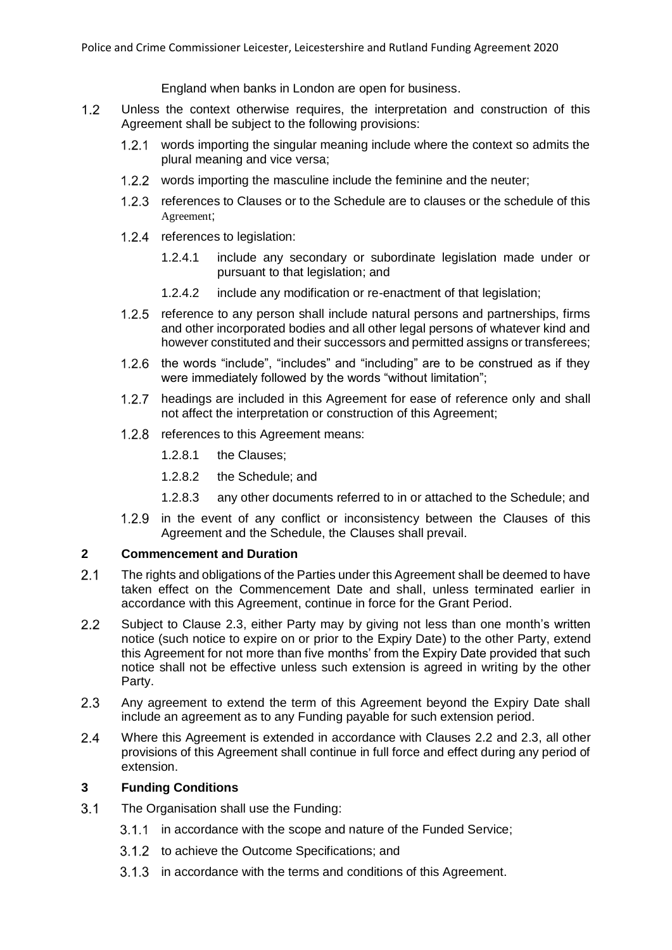England when banks in London are open for business.

- $1.2$ Unless the context otherwise requires, the interpretation and construction of this Agreement shall be subject to the following provisions:
	- 1.2.1 words importing the singular meaning include where the context so admits the plural meaning and vice versa;
	- 1.2.2 words importing the masculine include the feminine and the neuter:
	- 1.2.3 references to Clauses or to the Schedule are to clauses or the schedule of this Agreement;
	- 1.2.4 references to legislation:
		- 1.2.4.1 include any secondary or subordinate legislation made under or pursuant to that legislation; and
		- 1.2.4.2 include any modification or re-enactment of that legislation;
	- 1.2.5 reference to any person shall include natural persons and partnerships, firms and other incorporated bodies and all other legal persons of whatever kind and however constituted and their successors and permitted assigns or transferees;
	- 1.2.6 the words "include", "includes" and "including" are to be construed as if they were immediately followed by the words "without limitation";
	- 1.2.7 headings are included in this Agreement for ease of reference only and shall not affect the interpretation or construction of this Agreement;
	- 1.2.8 references to this Agreement means:
		- 1.2.8.1 the Clauses;
		- 1.2.8.2 the Schedule; and
		- 1.2.8.3 any other documents referred to in or attached to the Schedule; and
	- 1.2.9 in the event of any conflict or inconsistency between the Clauses of this Agreement and the Schedule, the Clauses shall prevail.

### **2 Commencement and Duration**

- $2.1$ The rights and obligations of the Parties under this Agreement shall be deemed to have taken effect on the Commencement Date and shall, unless terminated earlier in accordance with this Agreement, continue in force for the Grant Period.
- <span id="page-2-1"></span> $2.2$ Subject to Clause [2.3,](#page-2-2) either Party may by giving not less than one month's written notice (such notice to expire on or prior to the Expiry Date) to the other Party, extend this Agreement for not more than five months' from the Expiry Date provided that such notice shall not be effective unless such extension is agreed in writing by the other Party.
- <span id="page-2-2"></span> $2.3$ Any agreement to extend the term of this Agreement beyond the Expiry Date shall include an agreement as to any Funding payable for such extension period.
- $2.4$ Where this Agreement is extended in accordance with Clauses [2.2](#page-2-1) and [2.3,](#page-2-2) all other provisions of this Agreement shall continue in full force and effect during any period of extension.

# <span id="page-2-0"></span>**3 Funding Conditions**

- $3.1$ The Organisation shall use the Funding:
	- 3.1.1 in accordance with the scope and nature of the Funded Service;
	- 3.1.2 to achieve the Outcome Specifications; and
	- 3.1.3 in accordance with the terms and conditions of this Agreement.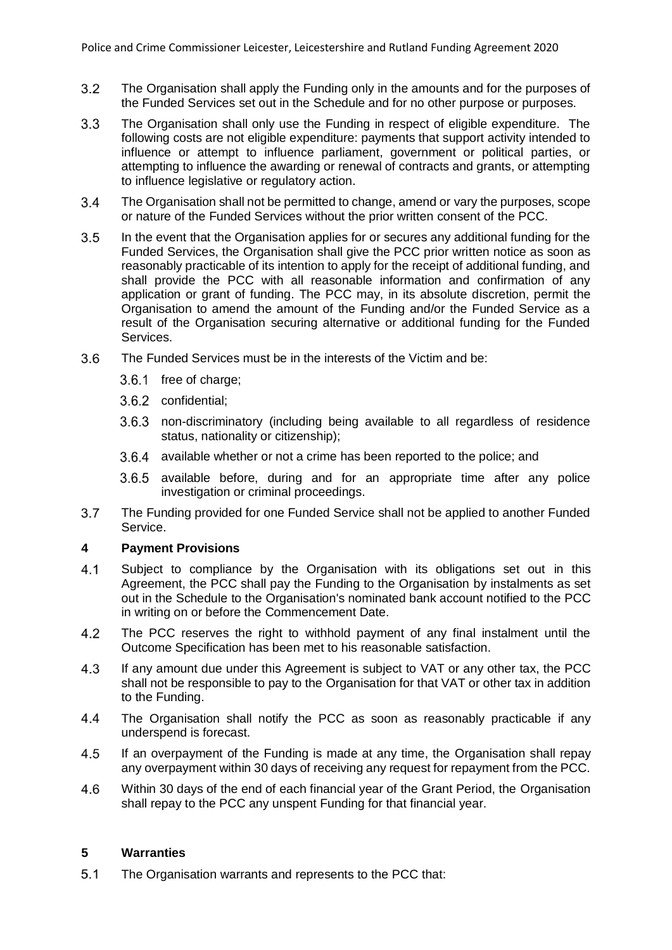- $3.2$ The Organisation shall apply the Funding only in the amounts and for the purposes of the Funded Services set out in the Schedule and for no other purpose or purposes.
- $3.3$ The Organisation shall only use the Funding in respect of eligible expenditure. The following costs are not eligible expenditure: payments that support activity intended to influence or attempt to influence parliament, government or political parties, or attempting to influence the awarding or renewal of contracts and grants, or attempting to influence legislative or regulatory action.
- $3.4$ The Organisation shall not be permitted to change, amend or vary the purposes, scope or nature of the Funded Services without the prior written consent of the PCC.
- <span id="page-3-1"></span> $3.5$ In the event that the Organisation applies for or secures any additional funding for the Funded Services, the Organisation shall give the PCC prior written notice as soon as reasonably practicable of its intention to apply for the receipt of additional funding, and shall provide the PCC with all reasonable information and confirmation of any application or grant of funding. The PCC may, in its absolute discretion, permit the Organisation to amend the amount of the Funding and/or the Funded Service as a result of the Organisation securing alternative or additional funding for the Funded Services.
- $3.6$ The Funded Services must be in the interests of the Victim and be:
	- 3.6.1 free of charge:
	- 3.6.2 confidential;
	- 3.6.3 non-discriminatory (including being available to all regardless of residence status, nationality or citizenship);
	- 3.6.4 available whether or not a crime has been reported to the police; and
	- $3.6.5$  available before, during and for an appropriate time after any police investigation or criminal proceedings.
- $3.7$ The Funding provided for one Funded Service shall not be applied to another Funded Service.

## **4 Payment Provisions**

- $4.1$ Subject to compliance by the Organisation with its obligations set out in this Agreement, the PCC shall pay the Funding to the Organisation by instalments as set out in the Schedule to the Organisation's nominated bank account notified to the PCC in writing on or before the Commencement Date.
- $4.2$ The PCC reserves the right to withhold payment of any final instalment until the Outcome Specification has been met to his reasonable satisfaction.
- 4.3 If any amount due under this Agreement is subject to VAT or any other tax, the PCC shall not be responsible to pay to the Organisation for that VAT or other tax in addition to the Funding.
- 4.4 The Organisation shall notify the PCC as soon as reasonably practicable if any underspend is forecast.
- 4.5 If an overpayment of the Funding is made at any time, the Organisation shall repay any overpayment within 30 days of receiving any request for repayment from the PCC.
- 4.6 Within 30 days of the end of each financial year of the Grant Period, the Organisation shall repay to the PCC any unspent Funding for that financial year.

## **5 Warranties**

<span id="page-3-0"></span> $5.1$ The Organisation warrants and represents to the PCC that: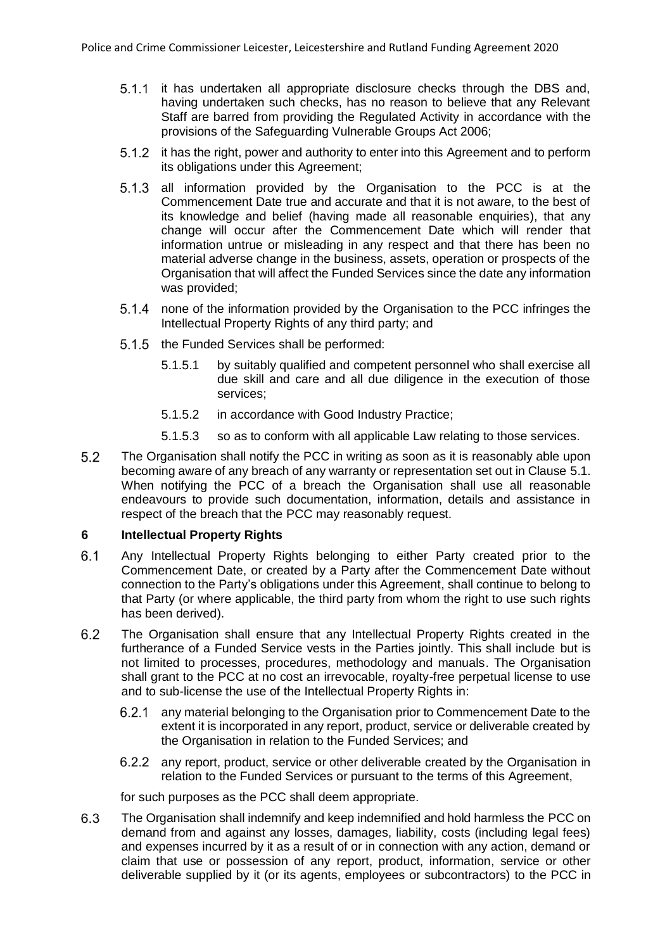- 5.1.1 it has undertaken all appropriate disclosure checks through the DBS and, having undertaken such checks, has no reason to believe that any Relevant Staff are barred from providing the Regulated Activity in accordance with the provisions of the Safeguarding Vulnerable Groups Act 2006;
- it has the right, power and authority to enter into this Agreement and to perform its obligations under this Agreement;
- 5.1.3 all information provided by the Organisation to the PCC is at the Commencement Date true and accurate and that it is not aware, to the best of its knowledge and belief (having made all reasonable enquiries), that any change will occur after the Commencement Date which will render that information untrue or misleading in any respect and that there has been no material adverse change in the business, assets, operation or prospects of the Organisation that will affect the Funded Services since the date any information was provided;
- 5.1.4 none of the information provided by the Organisation to the PCC infringes the Intellectual Property Rights of any third party; and
- 5.1.5 the Funded Services shall be performed:
	- 5.1.5.1 by suitably qualified and competent personnel who shall exercise all due skill and care and all due diligence in the execution of those services;
	- 5.1.5.2 in accordance with Good Industry Practice;
	- 5.1.5.3 so as to conform with all applicable Law relating to those services.
- 5.2 The Organisation shall notify the PCC in writing as soon as it is reasonably able upon becoming aware of any breach of any warranty or representation set out in Clause [5.1.](#page-3-0) When notifying the PCC of a breach the Organisation shall use all reasonable endeavours to provide such documentation, information, details and assistance in respect of the breach that the PCC may reasonably request.

#### **6 Intellectual Property Rights**

- $6.1$ Any Intellectual Property Rights belonging to either Party created prior to the Commencement Date, or created by a Party after the Commencement Date without connection to the Party's obligations under this Agreement, shall continue to belong to that Party (or where applicable, the third party from whom the right to use such rights has been derived).
- $6.2$ The Organisation shall ensure that any Intellectual Property Rights created in the furtherance of a Funded Service vests in the Parties jointly. This shall include but is not limited to processes, procedures, methodology and manuals. The Organisation shall grant to the PCC at no cost an irrevocable, royalty-free perpetual license to use and to sub-license the use of the Intellectual Property Rights in:
	- 6.2.1 any material belonging to the Organisation prior to Commencement Date to the extent it is incorporated in any report, product, service or deliverable created by the Organisation in relation to the Funded Services; and
	- any report, product, service or other deliverable created by the Organisation in relation to the Funded Services or pursuant to the terms of this Agreement,

for such purposes as the PCC shall deem appropriate.

6.3 The Organisation shall indemnify and keep indemnified and hold harmless the PCC on demand from and against any losses, damages, liability, costs (including legal fees) and expenses incurred by it as a result of or in connection with any action, demand or claim that use or possession of any report, product, information, service or other deliverable supplied by it (or its agents, employees or subcontractors) to the PCC in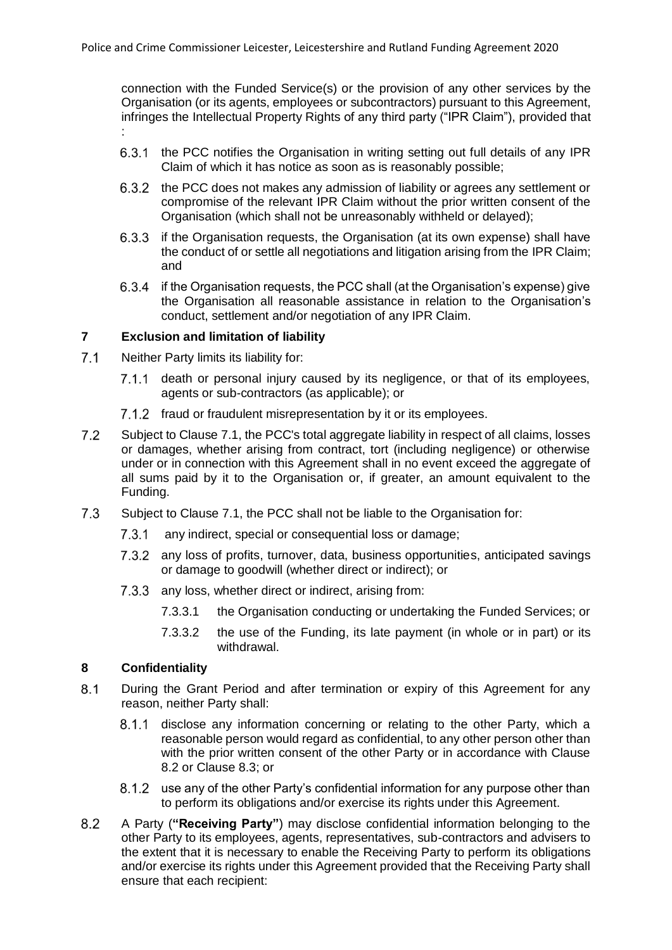connection with the Funded Service(s) or the provision of any other services by the Organisation (or its agents, employees or subcontractors) pursuant to this Agreement, infringes the Intellectual Property Rights of any third party ("IPR Claim"), provided that :

- the PCC notifies the Organisation in writing setting out full details of any IPR 6.3.1 Claim of which it has notice as soon as is reasonably possible;
- 6.3.2 the PCC does not makes any admission of liability or agrees any settlement or compromise of the relevant IPR Claim without the prior written consent of the Organisation (which shall not be unreasonably withheld or delayed);
- 6.3.3 if the Organisation requests, the Organisation (at its own expense) shall have the conduct of or settle all negotiations and litigation arising from the IPR Claim; and
- 6.3.4 if the Organisation requests, the PCC shall (at the Organisation's expense) give the Organisation all reasonable assistance in relation to the Organisation's conduct, settlement and/or negotiation of any IPR Claim.

### **7 Exclusion and limitation of liability**

- <span id="page-5-0"></span> $7.1$ Neither Party limits its liability for:
	- 7.1.1 death or personal injury caused by its negligence, or that of its employees, agents or sub-contractors (as applicable); or
	- 7.1.2 fraud or fraudulent misrepresentation by it or its employees.
- $7.2$ Subject to Claus[e 7.1,](#page-5-0) the PCC's total aggregate liability in respect of all claims, losses or damages, whether arising from contract, tort (including negligence) or otherwise under or in connection with this Agreement shall in no event exceed the aggregate of all sums paid by it to the Organisation or, if greater, an amount equivalent to the Funding.
- $7.3$ Subject to Clause [7.1,](#page-5-0) the PCC shall not be liable to the Organisation for:
	- $7.3.1$ any indirect, special or consequential loss or damage;
	- 7.3.2 any loss of profits, turnover, data, business opportunities, anticipated savings or damage to goodwill (whether direct or indirect); or
	- 7.3.3 any loss, whether direct or indirect, arising from:
		- 7.3.3.1 the Organisation conducting or undertaking the Funded Services; or
		- 7.3.3.2 the use of the Funding, its late payment (in whole or in part) or its withdrawal.

# <span id="page-5-2"></span>**8 Confidentiality**

- $8.1$ During the Grant Period and after termination or expiry of this Agreement for any reason, neither Party shall:
	- 8.1.1 disclose any information concerning or relating to the other Party, which a reasonable person would regard as confidential, to any other person other than with the prior written consent of the other Party or in accordance with Clause [8.2](#page-5-1) or Clause [8.3;](#page-6-0) or
	- 8.1.2 use any of the other Party's confidential information for any purpose other than to perform its obligations and/or exercise its rights under this Agreement.
- <span id="page-5-1"></span>8.2 A Party (**"Receiving Party"**) may disclose confidential information belonging to the other Party to its employees, agents, representatives, sub-contractors and advisers to the extent that it is necessary to enable the Receiving Party to perform its obligations and/or exercise its rights under this Agreement provided that the Receiving Party shall ensure that each recipient: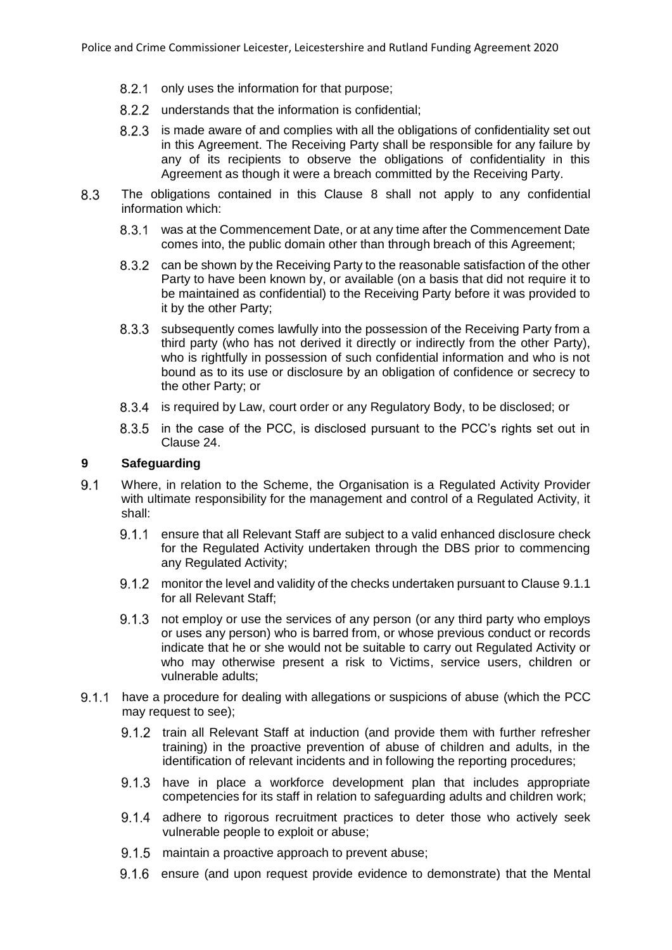- 8.2.1 only uses the information for that purpose;
- 8.2.2 understands that the information is confidential:
- 8.2.3 is made aware of and complies with all the obligations of confidentiality set out in this Agreement. The Receiving Party shall be responsible for any failure by any of its recipients to observe the obligations of confidentiality in this Agreement as though it were a breach committed by the Receiving Party.
- <span id="page-6-0"></span>8.3 The obligations contained in this Clause [8](#page-5-2) shall not apply to any confidential information which:
	- was at the Commencement Date, or at any time after the Commencement Date comes into, the public domain other than through breach of this Agreement;
	- 8.3.2 can be shown by the Receiving Party to the reasonable satisfaction of the other Party to have been known by, or available (on a basis that did not require it to be maintained as confidential) to the Receiving Party before it was provided to it by the other Party;
	- 8.3.3 subsequently comes lawfully into the possession of the Receiving Party from a third party (who has not derived it directly or indirectly from the other Party), who is rightfully in possession of such confidential information and who is not bound as to its use or disclosure by an obligation of confidence or secrecy to the other Party; or
	- 8.3.4 is required by Law, court order or any Regulatory Body, to be disclosed; or
	- 8.3.5 in the case of the PCC, is disclosed pursuant to the PCC's rights set out in Clause [24.](#page-11-0)

## <span id="page-6-2"></span>**9 Safeguarding**

- <span id="page-6-1"></span> $9.1$ Where, in relation to the Scheme, the Organisation is a Regulated Activity Provider with ultimate responsibility for the management and control of a Regulated Activity, it shall:
	- 9.1.1 ensure that all Relevant Staff are subject to a valid enhanced disclosure check for the Regulated Activity undertaken through the DBS prior to commencing any Regulated Activity;
	- 9.1.2 monitor the level and validity of the checks undertaken pursuant to Clause [9.1.1](#page-6-1) for all Relevant Staff;
	- 9.1.3 not employ or use the services of any person (or any third party who employs or uses any person) who is barred from, or whose previous conduct or records indicate that he or she would not be suitable to carry out Regulated Activity or who may otherwise present a risk to Victims, service users, children or vulnerable adults;
- 9.1.1 have a procedure for dealing with allegations or suspicions of abuse (which the PCC may request to see);
	- 9.1.2 train all Relevant Staff at induction (and provide them with further refresher training) in the proactive prevention of abuse of children and adults, in the identification of relevant incidents and in following the reporting procedures;
	- 9.1.3 have in place a workforce development plan that includes appropriate competencies for its staff in relation to safeguarding adults and children work;
	- 9.1.4 adhere to rigorous recruitment practices to deter those who actively seek vulnerable people to exploit or abuse;
	- 9.1.5 maintain a proactive approach to prevent abuse;
	- 9.1.6 ensure (and upon request provide evidence to demonstrate) that the Mental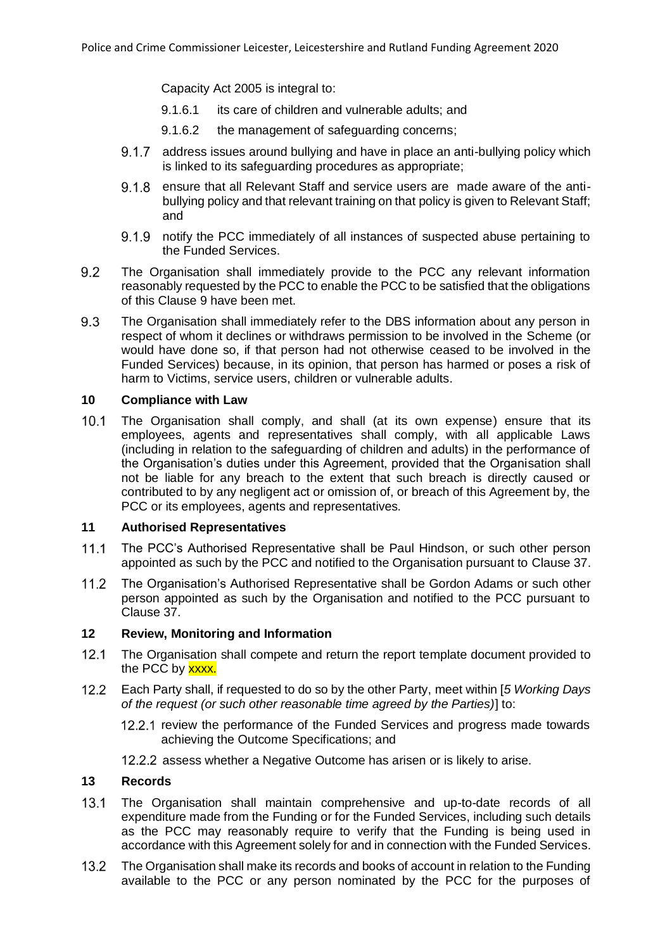Capacity Act 2005 is integral to:

- 9.1.6.1 its care of children and vulnerable adults; and
- 9.1.6.2 the management of safeguarding concerns;
- 9.1.7 address issues around bullying and have in place an anti-bullying policy which is linked to its safeguarding procedures as appropriate;
- 9.1.8 ensure that all Relevant Staff and service users are made aware of the antibullying policy and that relevant training on that policy is given to Relevant Staff; and
- 9.1.9 notify the PCC immediately of all instances of suspected abuse pertaining to the Funded Services.
- 9.2 The Organisation shall immediately provide to the PCC any relevant information reasonably requested by the PCC to enable the PCC to be satisfied that the obligations of this Clause [9](#page-6-2) have been met.
- 9.3 The Organisation shall immediately refer to the DBS information about any person in respect of whom it declines or withdraws permission to be involved in the Scheme (or would have done so, if that person had not otherwise ceased to be involved in the Funded Services) because, in its opinion, that person has harmed or poses a risk of harm to Victims, service users, children or vulnerable adults.

### **10 Compliance with Law**

 $10.1$ The Organisation shall comply, and shall (at its own expense) ensure that its employees, agents and representatives shall comply, with all applicable Laws (including in relation to the safeguarding of children and adults) in the performance of the Organisation's duties under this Agreement, provided that the Organisation shall not be liable for any breach to the extent that such breach is directly caused or contributed to by any negligent act or omission of, or breach of this Agreement by, the PCC or its employees, agents and representatives.

### <span id="page-7-0"></span>**11 Authorised Representatives**

- $11.1$ The PCC's Authorised Representative shall be Paul Hindson, or such other person appointed as such by the PCC and notified to the Organisation pursuant to Clause [37.](#page-16-0)
- $11.2$ The Organisation's Authorised Representative shall be Gordon Adams or such other person appointed as such by the Organisation and notified to the PCC pursuant to Clause [37.](#page-16-0)

## **12 Review, Monitoring and Information**

- $12.1$ The Organisation shall compete and return the report template document provided to the PCC by xxxx.
- $12.2$ Each Party shall, if requested to do so by the other Party, meet within [*5 Working Days of the request (or such other reasonable time agreed by the Parties)*] to:
	- 12.2.1 review the performance of the Funded Services and progress made towards achieving the Outcome Specifications; and
	- 12.2.2 assess whether a Negative Outcome has arisen or is likely to arise.

#### **13 Records**

- $13.1$ The Organisation shall maintain comprehensive and up-to-date records of all expenditure made from the Funding or for the Funded Services, including such details as the PCC may reasonably require to verify that the Funding is being used in accordance with this Agreement solely for and in connection with the Funded Services.
- $13.2$ The Organisation shall make its records and books of account in relation to the Funding available to the PCC or any person nominated by the PCC for the purposes of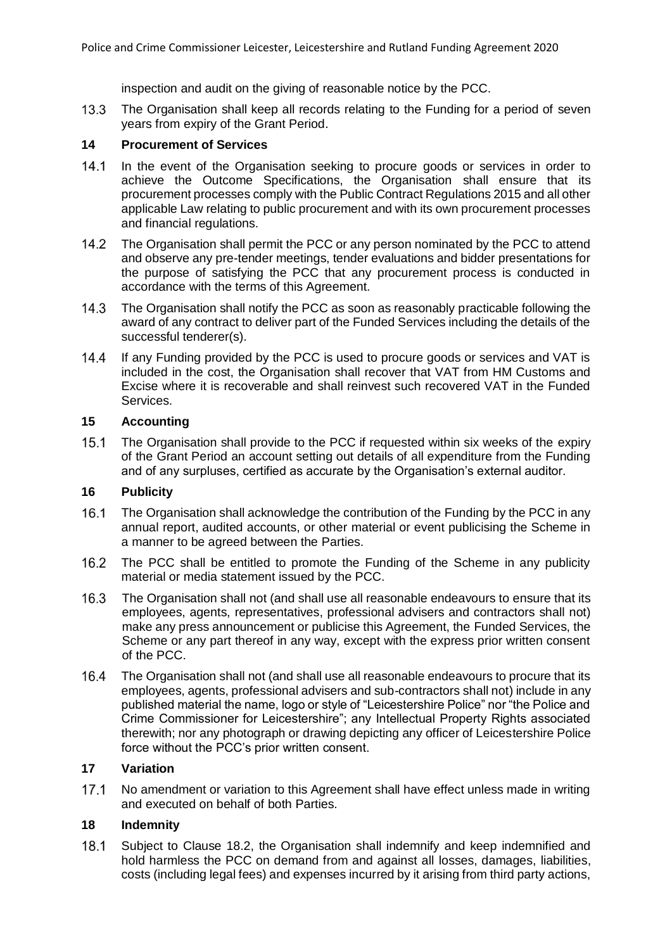inspection and audit on the giving of reasonable notice by the PCC.

 $13.3$ The Organisation shall keep all records relating to the Funding for a period of seven years from expiry of the Grant Period.

### **14 Procurement of Services**

- $14.1$ In the event of the Organisation seeking to procure goods or services in order to achieve the Outcome Specifications, the Organisation shall ensure that its procurement processes comply with the Public Contract Regulations 2015 and all other applicable Law relating to public procurement and with its own procurement processes and financial regulations.
- $14.2$ The Organisation shall permit the PCC or any person nominated by the PCC to attend and observe any pre-tender meetings, tender evaluations and bidder presentations for the purpose of satisfying the PCC that any procurement process is conducted in accordance with the terms of this Agreement.
- $14.3$ The Organisation shall notify the PCC as soon as reasonably practicable following the award of any contract to deliver part of the Funded Services including the details of the successful tenderer(s).
- $14.4$ If any Funding provided by the PCC is used to procure goods or services and VAT is included in the cost, the Organisation shall recover that VAT from HM Customs and Excise where it is recoverable and shall reinvest such recovered VAT in the Funded Services.

### **15 Accounting**

 $15.1$ The Organisation shall provide to the PCC if requested within six weeks of the expiry of the Grant Period an account setting out details of all expenditure from the Funding and of any surpluses, certified as accurate by the Organisation's external auditor.

# **16 Publicity**

- $16.1$ The Organisation shall acknowledge the contribution of the Funding by the PCC in any annual report, audited accounts, or other material or event publicising the Scheme in a manner to be agreed between the Parties.
- $16.2$ The PCC shall be entitled to promote the Funding of the Scheme in any publicity material or media statement issued by the PCC.
- 16.3 The Organisation shall not (and shall use all reasonable endeavours to ensure that its employees, agents, representatives, professional advisers and contractors shall not) make any press announcement or publicise this Agreement, the Funded Services, the Scheme or any part thereof in any way, except with the express prior written consent of the PCC.
- 16.4 The Organisation shall not (and shall use all reasonable endeavours to procure that its employees, agents, professional advisers and sub-contractors shall not) include in any published material the name, logo or style of "Leicestershire Police" nor "the Police and Crime Commissioner for Leicestershire"; any Intellectual Property Rights associated therewith; nor any photograph or drawing depicting any officer of Leicestershire Police force without the PCC's prior written consent.

## **17 Variation**

 $17.1$ No amendment or variation to this Agreement shall have effect unless made in writing and executed on behalf of both Parties.

## **18 Indemnity**

<span id="page-8-0"></span> $18.1$ Subject to Clause [18.2,](#page-9-0) the Organisation shall indemnify and keep indemnified and hold harmless the PCC on demand from and against all losses, damages, liabilities, costs (including legal fees) and expenses incurred by it arising from third party actions,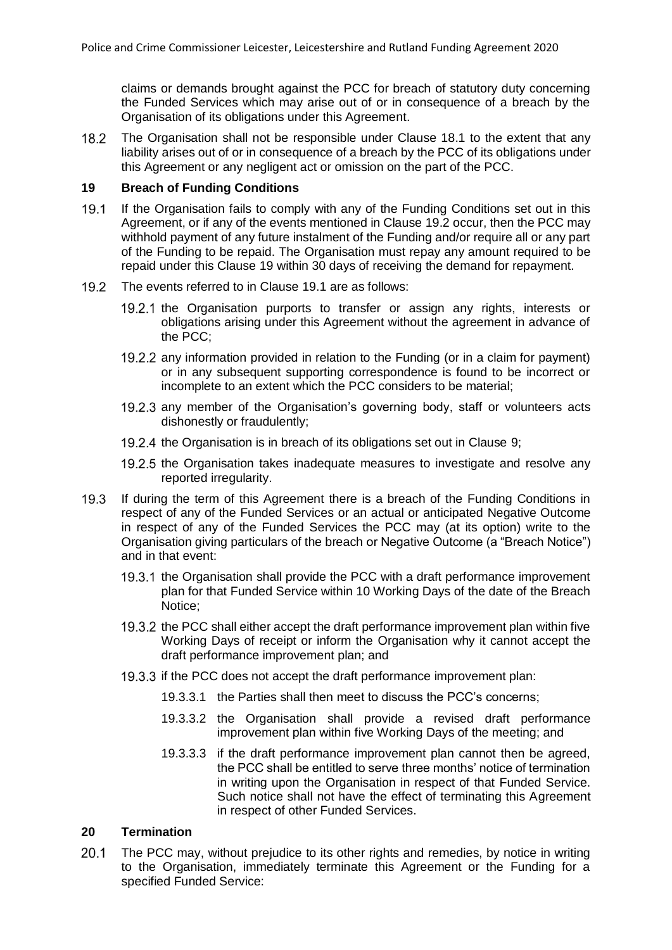claims or demands brought against the PCC for breach of statutory duty concerning the Funded Services which may arise out of or in consequence of a breach by the Organisation of its obligations under this Agreement.

<span id="page-9-0"></span> $18.2$ The Organisation shall not be responsible under Clause [18.1](#page-8-0) to the extent that any liability arises out of or in consequence of a breach by the PCC of its obligations under this Agreement or any negligent act or omission on the part of the PCC.

#### <span id="page-9-2"></span>**19 Breach of Funding Conditions**

- <span id="page-9-3"></span> $19.1$ If the Organisation fails to comply with any of the Funding Conditions set out in this Agreement, or if any of the events mentioned in Clause [19.2](#page-9-1) occur, then the PCC may withhold payment of any future instalment of the Funding and/or require all or any part of the Funding to be repaid. The Organisation must repay any amount required to be repaid under this Clause [19](#page-9-2) within 30 days of receiving the demand for repayment.
- <span id="page-9-1"></span>19.2 The events referred to in Clause [19.1](#page-9-3) are as follows:
	- 19.2.1 the Organisation purports to transfer or assign any rights, interests or obligations arising under this Agreement without the agreement in advance of the PCC;
	- 19.2.2 any information provided in relation to the Funding (or in a claim for payment) or in any subsequent supporting correspondence is found to be incorrect or incomplete to an extent which the PCC considers to be material;
	- 19.2.3 any member of the Organisation's governing body, staff or volunteers acts dishonestly or fraudulently;
	- 19.2.4 the Organisation is in breach of its obligations set out in Clause 9:
	- 19.2.5 the Organisation takes inadequate measures to investigate and resolve any reported irregularity.
- $19.3$ If during the term of this Agreement there is a breach of the Funding Conditions in respect of any of the Funded Services or an actual or anticipated Negative Outcome in respect of any of the Funded Services the PCC may (at its option) write to the Organisation giving particulars of the breach or Negative Outcome (a "Breach Notice") and in that event:
	- 19.3.1 the Organisation shall provide the PCC with a draft performance improvement plan for that Funded Service within 10 Working Days of the date of the Breach Notice;
	- 19.3.2 the PCC shall either accept the draft performance improvement plan within five Working Days of receipt or inform the Organisation why it cannot accept the draft performance improvement plan; and
	- 19.3.3 if the PCC does not accept the draft performance improvement plan:
		- 19.3.3.1 the Parties shall then meet to discuss the PCC's concerns;
		- 19.3.3.2 the Organisation shall provide a revised draft performance improvement plan within five Working Days of the meeting; and
		- 19.3.3.3 if the draft performance improvement plan cannot then be agreed, the PCC shall be entitled to serve three months' notice of termination in writing upon the Organisation in respect of that Funded Service. Such notice shall not have the effect of terminating this Agreement in respect of other Funded Services.

## **20 Termination**

 $20.1$ The PCC may, without prejudice to its other rights and remedies, by notice in writing to the Organisation, immediately terminate this Agreement or the Funding for a specified Funded Service: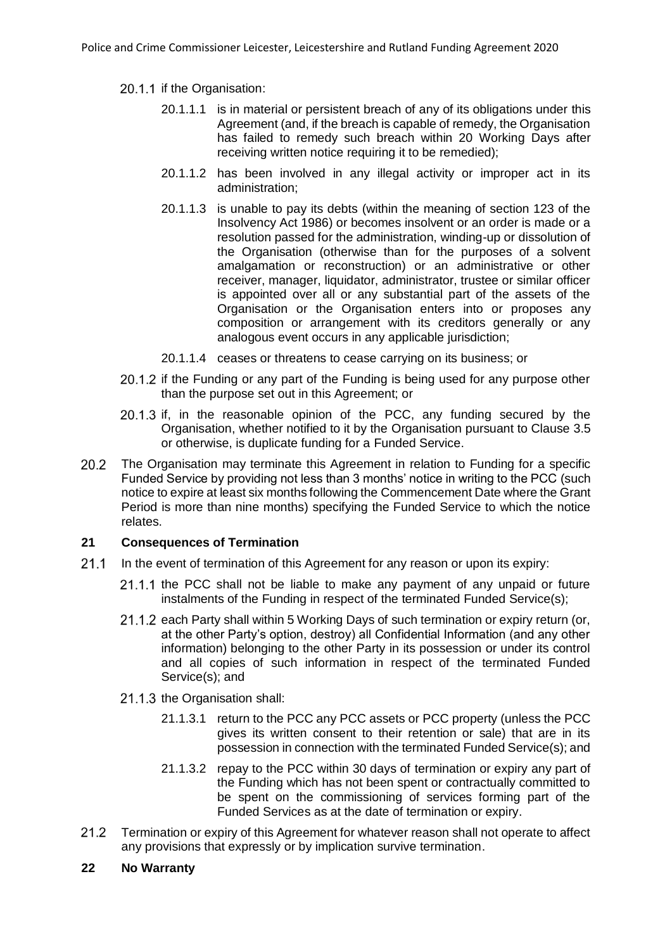### <span id="page-10-0"></span>20.1.1 if the Organisation:

- 20.1.1.1 is in material or persistent breach of any of its obligations under this Agreement (and, if the breach is capable of remedy, the Organisation has failed to remedy such breach within 20 Working Days after receiving written notice requiring it to be remedied);
- 20.1.1.2 has been involved in any illegal activity or improper act in its administration;
- 20.1.1.3 is unable to pay its debts (within the meaning of section 123 of the Insolvency Act 1986) or becomes insolvent or an order is made or a resolution passed for the administration, winding-up or dissolution of the Organisation (otherwise than for the purposes of a solvent amalgamation or reconstruction) or an administrative or other receiver, manager, liquidator, administrator, trustee or similar officer is appointed over all or any substantial part of the assets of the Organisation or the Organisation enters into or proposes any composition or arrangement with its creditors generally or any analogous event occurs in any applicable jurisdiction;
- 20.1.1.4 ceases or threatens to cease carrying on its business; or
- 20.1.2 if the Funding or any part of the Funding is being used for any purpose other than the purpose set out in this Agreement; or
- $20.1.3$  if, in the reasonable opinion of the PCC, any funding secured by the Organisation, whether notified to it by the Organisation pursuant to Clause [3.5](#page-3-1) or otherwise, is duplicate funding for a Funded Service.
- 20.2 The Organisation may terminate this Agreement in relation to Funding for a specific Funded Service by providing not less than 3 months' notice in writing to the PCC (such notice to expire at least six months following the Commencement Date where the Grant Period is more than nine months) specifying the Funded Service to which the notice relates.

## **21 Consequences of Termination**

- $21.1$ In the event of termination of this Agreement for any reason or upon its expiry:
	- 21.1.1 the PCC shall not be liable to make any payment of any unpaid or future instalments of the Funding in respect of the terminated Funded Service(s);
	- 21.1.2 each Party shall within 5 Working Days of such termination or expiry return (or, at the other Party's option, destroy) all Confidential Information (and any other information) belonging to the other Party in its possession or under its control and all copies of such information in respect of the terminated Funded Service(s); and
	- 21.1.3 the Organisation shall:
		- 21.1.3.1 return to the PCC any PCC assets or PCC property (unless the PCC gives its written consent to their retention or sale) that are in its possession in connection with the terminated Funded Service(s); and
		- 21.1.3.2 repay to the PCC within 30 days of termination or expiry any part of the Funding which has not been spent or contractually committed to be spent on the commissioning of services forming part of the Funded Services as at the date of termination or expiry.
- $21.2$ Termination or expiry of this Agreement for whatever reason shall not operate to affect any provisions that expressly or by implication survive termination.

#### **22 No Warranty**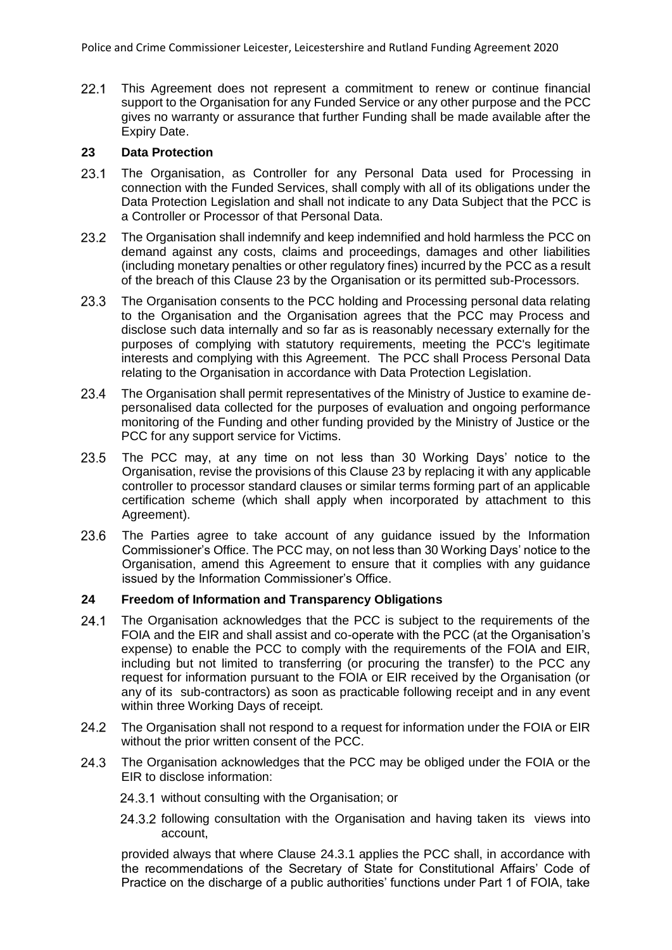$22.1$ This Agreement does not represent a commitment to renew or continue financial support to the Organisation for any Funded Service or any other purpose and the PCC gives no warranty or assurance that further Funding shall be made available after the Expiry Date.

## <span id="page-11-1"></span>**23 Data Protection**

- $23.1$ The Organisation, as Controller for any Personal Data used for Processing in connection with the Funded Services, shall comply with all of its obligations under the Data Protection Legislation and shall not indicate to any Data Subject that the PCC is a Controller or Processor of that Personal Data.
- 23.2 The Organisation shall indemnify and keep indemnified and hold harmless the PCC on demand against any costs, claims and proceedings, damages and other liabilities (including monetary penalties or other regulatory fines) incurred by the PCC as a result of the breach of this Clause [23](#page-11-1) by the Organisation or its permitted sub-Processors.
- 23.3 The Organisation consents to the PCC holding and Processing personal data relating to the Organisation and the Organisation agrees that the PCC may Process and disclose such data internally and so far as is reasonably necessary externally for the purposes of complying with statutory requirements, meeting the PCC's legitimate interests and complying with this Agreement. The PCC shall Process Personal Data relating to the Organisation in accordance with Data Protection Legislation.
- 23.4 The Organisation shall permit representatives of the Ministry of Justice to examine depersonalised data collected for the purposes of evaluation and ongoing performance monitoring of the Funding and other funding provided by the Ministry of Justice or the PCC for any support service for Victims.
- 23.5 The PCC may, at any time on not less than 30 Working Days' notice to the Organisation, revise the provisions of this Claus[e 23](#page-11-1) by replacing it with any applicable controller to processor standard clauses or similar terms forming part of an applicable certification scheme (which shall apply when incorporated by attachment to this Agreement).
- The Parties agree to take account of any guidance issued by the Information 23.6 Commissioner's Office. The PCC may, on not less than 30 Working Days' notice to the Organisation, amend this Agreement to ensure that it complies with any guidance issued by the Information Commissioner's Office.

# <span id="page-11-0"></span>**24 Freedom of Information and Transparency Obligations**

- $24.1$ The Organisation acknowledges that the PCC is subject to the requirements of the FOIA and the EIR and shall assist and co-operate with the PCC (at the Organisation's expense) to enable the PCC to comply with the requirements of the FOIA and EIR, including but not limited to transferring (or procuring the transfer) to the PCC any request for information pursuant to the FOIA or EIR received by the Organisation (or any of its sub-contractors) as soon as practicable following receipt and in any event within three Working Days of receipt.
- 24.2 The Organisation shall not respond to a request for information under the FOIA or EIR without the prior written consent of the PCC.
- <span id="page-11-2"></span>24.3 The Organisation acknowledges that the PCC may be obliged under the FOIA or the EIR to disclose information:
	- 24.3.1 without consulting with the Organisation; or
	- 24.3.2 following consultation with the Organisation and having taken its views into account,

provided always that where Clause [24.3.1](#page-11-2) applies the PCC shall, in accordance with the recommendations of the Secretary of State for Constitutional Affairs' Code of Practice on the discharge of a public authorities' functions under Part 1 of FOIA, take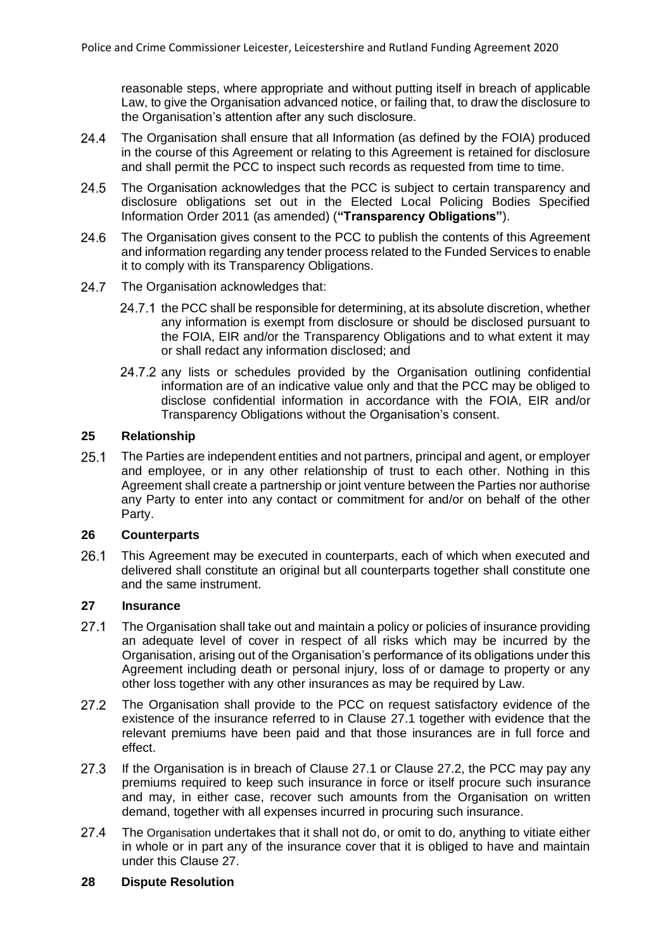reasonable steps, where appropriate and without putting itself in breach of applicable Law, to give the Organisation advanced notice, or failing that, to draw the disclosure to the Organisation's attention after any such disclosure.

- 24.4 The Organisation shall ensure that all Information (as defined by the FOIA) produced in the course of this Agreement or relating to this Agreement is retained for disclosure and shall permit the PCC to inspect such records as requested from time to time.
- 24.5 The Organisation acknowledges that the PCC is subject to certain transparency and disclosure obligations set out in the Elected Local Policing Bodies Specified Information Order 2011 (as amended) (**"Transparency Obligations"**).
- 24.6 The Organisation gives consent to the PCC to publish the contents of this Agreement and information regarding any tender process related to the Funded Services to enable it to comply with its Transparency Obligations.
- 24.7 The Organisation acknowledges that:
	- 24.7.1 the PCC shall be responsible for determining, at its absolute discretion, whether any information is exempt from disclosure or should be disclosed pursuant to the FOIA, EIR and/or the Transparency Obligations and to what extent it may or shall redact any information disclosed; and
	- 24.7.2 any lists or schedules provided by the Organisation outlining confidential information are of an indicative value only and that the PCC may be obliged to disclose confidential information in accordance with the FOIA, EIR and/or Transparency Obligations without the Organisation's consent.

### **25 Relationship**

 $25.1$ The Parties are independent entities and not partners, principal and agent, or employer and employee, or in any other relationship of trust to each other. Nothing in this Agreement shall create a partnership or joint venture between the Parties nor authorise any Party to enter into any contact or commitment for and/or on behalf of the other Party.

#### **26 Counterparts**

26.1 This Agreement may be executed in counterparts, each of which when executed and delivered shall constitute an original but all counterparts together shall constitute one and the same instrument.

#### <span id="page-12-2"></span>**27 Insurance**

- <span id="page-12-0"></span> $27.1$ The Organisation shall take out and maintain a policy or policies of insurance providing an adequate level of cover in respect of all risks which may be incurred by the Organisation, arising out of the Organisation's performance of its obligations under this Agreement including death or personal injury, loss of or damage to property or any other loss together with any other insurances as may be required by Law.
- <span id="page-12-1"></span> $27.2$ The Organisation shall provide to the PCC on request satisfactory evidence of the existence of the insurance referred to in Clause [27.1](#page-12-0) together with evidence that the relevant premiums have been paid and that those insurances are in full force and effect.
- 27.3 If the Organisation is in breach of Clause [27.1](#page-12-0) or Clause [27.2,](#page-12-1) the PCC may pay any premiums required to keep such insurance in force or itself procure such insurance and may, in either case, recover such amounts from the Organisation on written demand, together with all expenses incurred in procuring such insurance.
- $27.4$ The Organisation undertakes that it shall not do, or omit to do, anything to vitiate either in whole or in part any of the insurance cover that it is obliged to have and maintain under this Clause [27.](#page-12-2)

## <span id="page-12-3"></span>**28 Dispute Resolution**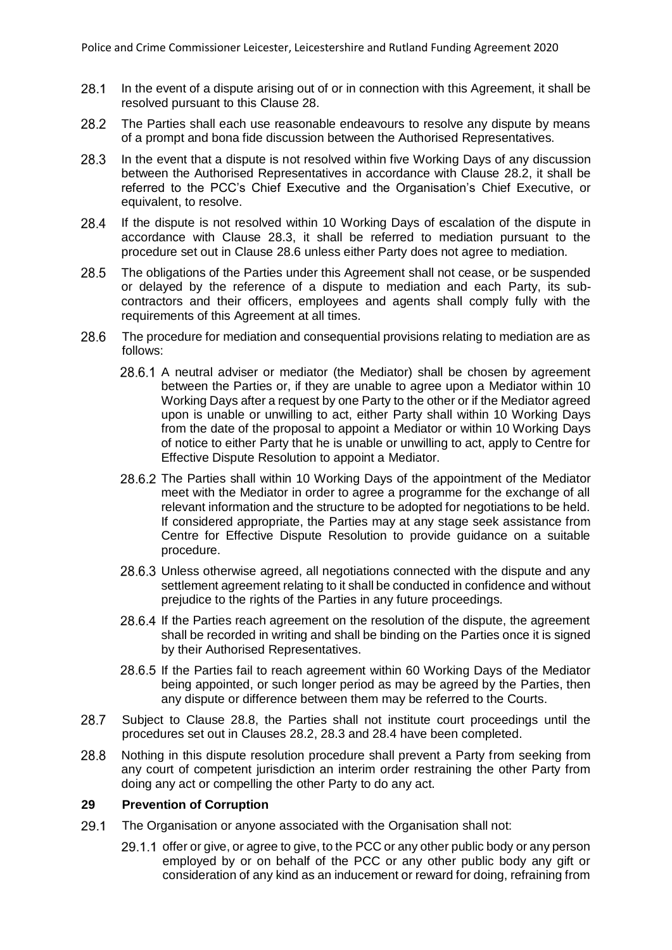- $28.1$ In the event of a dispute arising out of or in connection with this Agreement, it shall be resolved pursuant to this Clause [28.](#page-12-3)
- <span id="page-13-0"></span>28.2 The Parties shall each use reasonable endeavours to resolve any dispute by means of a prompt and bona fide discussion between the Authorised Representatives.
- <span id="page-13-1"></span>28.3 In the event that a dispute is not resolved within five Working Days of any discussion between the Authorised Representatives in accordance with Clause [28.2,](#page-13-0) it shall be referred to the PCC's Chief Executive and the Organisation's Chief Executive, or equivalent, to resolve.
- <span id="page-13-4"></span>28.4 If the dispute is not resolved within 10 Working Days of escalation of the dispute in accordance with Clause [28.3,](#page-13-1) it shall be referred to mediation pursuant to the procedure set out in Clause [28.6](#page-13-2) unless either Party does not agree to mediation.
- 28.5 The obligations of the Parties under this Agreement shall not cease, or be suspended or delayed by the reference of a dispute to mediation and each Party, its subcontractors and their officers, employees and agents shall comply fully with the requirements of this Agreement at all times.
- <span id="page-13-2"></span>28.6 The procedure for mediation and consequential provisions relating to mediation are as follows:
	- 28.6.1 A neutral adviser or mediator (the Mediator) shall be chosen by agreement between the Parties or, if they are unable to agree upon a Mediator within 10 Working Days after a request by one Party to the other or if the Mediator agreed upon is unable or unwilling to act, either Party shall within 10 Working Days from the date of the proposal to appoint a Mediator or within 10 Working Days of notice to either Party that he is unable or unwilling to act, apply to Centre for Effective Dispute Resolution to appoint a Mediator.
	- 28.6.2 The Parties shall within 10 Working Days of the appointment of the Mediator meet with the Mediator in order to agree a programme for the exchange of all relevant information and the structure to be adopted for negotiations to be held. If considered appropriate, the Parties may at any stage seek assistance from Centre for Effective Dispute Resolution to provide guidance on a suitable procedure.
	- 28.6.3 Unless otherwise agreed, all negotiations connected with the dispute and any settlement agreement relating to it shall be conducted in confidence and without prejudice to the rights of the Parties in any future proceedings.
	- 28.6.4 If the Parties reach agreement on the resolution of the dispute, the agreement shall be recorded in writing and shall be binding on the Parties once it is signed by their Authorised Representatives.
	- 28.6.5 If the Parties fail to reach agreement within 60 Working Days of the Mediator being appointed, or such longer period as may be agreed by the Parties, then any dispute or difference between them may be referred to the Courts.
- 28.7 Subject to Clause [28.8,](#page-13-3) the Parties shall not institute court proceedings until the procedures set out in Clauses [28.2,](#page-13-0) [28.3](#page-13-1) and [28.4](#page-13-4) have been completed.
- <span id="page-13-3"></span>28.8 Nothing in this dispute resolution procedure shall prevent a Party from seeking from any court of competent jurisdiction an interim order restraining the other Party from doing any act or compelling the other Party to do any act.

#### <span id="page-13-5"></span>**29 Prevention of Corruption**

- <span id="page-13-6"></span> $29.1$ The Organisation or anyone associated with the Organisation shall not:
	- 29.1.1 offer or give, or agree to give, to the PCC or any other public body or any person employed by or on behalf of the PCC or any other public body any gift or consideration of any kind as an inducement or reward for doing, refraining from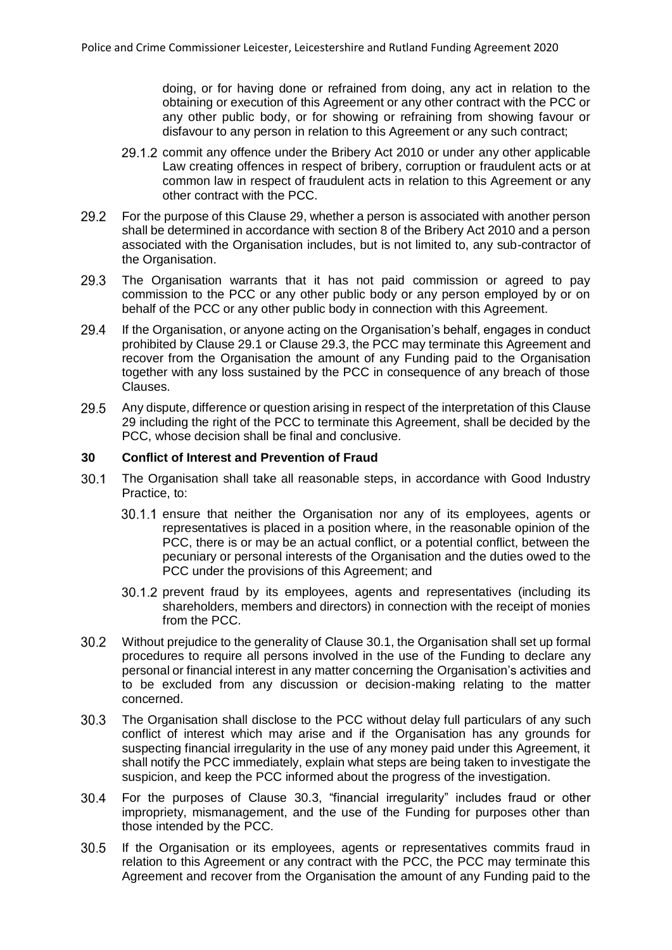doing, or for having done or refrained from doing, any act in relation to the obtaining or execution of this Agreement or any other contract with the PCC or any other public body, or for showing or refraining from showing favour or disfavour to any person in relation to this Agreement or any such contract;

- 29.1.2 commit any offence under the Bribery Act 2010 or under any other applicable Law creating offences in respect of bribery, corruption or fraudulent acts or at common law in respect of fraudulent acts in relation to this Agreement or any other contract with the PCC.
- 29.2 For the purpose of this Clause [29,](#page-13-5) whether a person is associated with another person shall be determined in accordance with section 8 of the Bribery Act 2010 and a person associated with the Organisation includes, but is not limited to, any sub-contractor of the Organisation.
- <span id="page-14-0"></span>The Organisation warrants that it has not paid commission or agreed to pay 29.3 commission to the PCC or any other public body or any person employed by or on behalf of the PCC or any other public body in connection with this Agreement.
- 29.4 If the Organisation, or anyone acting on the Organisation's behalf, engages in conduct prohibited by Claus[e 29.1](#page-13-6) or Clause [29.3,](#page-14-0) the PCC may terminate this Agreement and recover from the Organisation the amount of any Funding paid to the Organisation together with any loss sustained by the PCC in consequence of any breach of those Clauses.
- 29.5 Any dispute, difference or question arising in respect of the interpretation of this Clause [29](#page-13-5) including the right of the PCC to terminate this Agreement, shall be decided by the PCC, whose decision shall be final and conclusive.

### <span id="page-14-3"></span>**30 Conflict of Interest and Prevention of Fraud**

- <span id="page-14-1"></span> $30.1$ The Organisation shall take all reasonable steps, in accordance with Good Industry Practice, to:
	- 30.1.1 ensure that neither the Organisation nor any of its employees, agents or representatives is placed in a position where, in the reasonable opinion of the PCC, there is or may be an actual conflict, or a potential conflict, between the pecuniary or personal interests of the Organisation and the duties owed to the PCC under the provisions of this Agreement; and
	- 30.1.2 prevent fraud by its employees, agents and representatives (including its shareholders, members and directors) in connection with the receipt of monies from the PCC.
- $30.2$ Without prejudice to the generality of Clause [30.1,](#page-14-1) the Organisation shall set up formal procedures to require all persons involved in the use of the Funding to declare any personal or financial interest in any matter concerning the Organisation's activities and to be excluded from any discussion or decision-making relating to the matter concerned.
- <span id="page-14-2"></span> $30.3$ The Organisation shall disclose to the PCC without delay full particulars of any such conflict of interest which may arise and if the Organisation has any grounds for suspecting financial irregularity in the use of any money paid under this Agreement, it shall notify the PCC immediately, explain what steps are being taken to investigate the suspicion, and keep the PCC informed about the progress of the investigation.
- For the purposes of Clause [30.3,](#page-14-2) "financial irregularity" includes fraud or other  $30.4$ impropriety, mismanagement, and the use of the Funding for purposes other than those intended by the PCC.
- $30.5$ If the Organisation or its employees, agents or representatives commits fraud in relation to this Agreement or any contract with the PCC, the PCC may terminate this Agreement and recover from the Organisation the amount of any Funding paid to the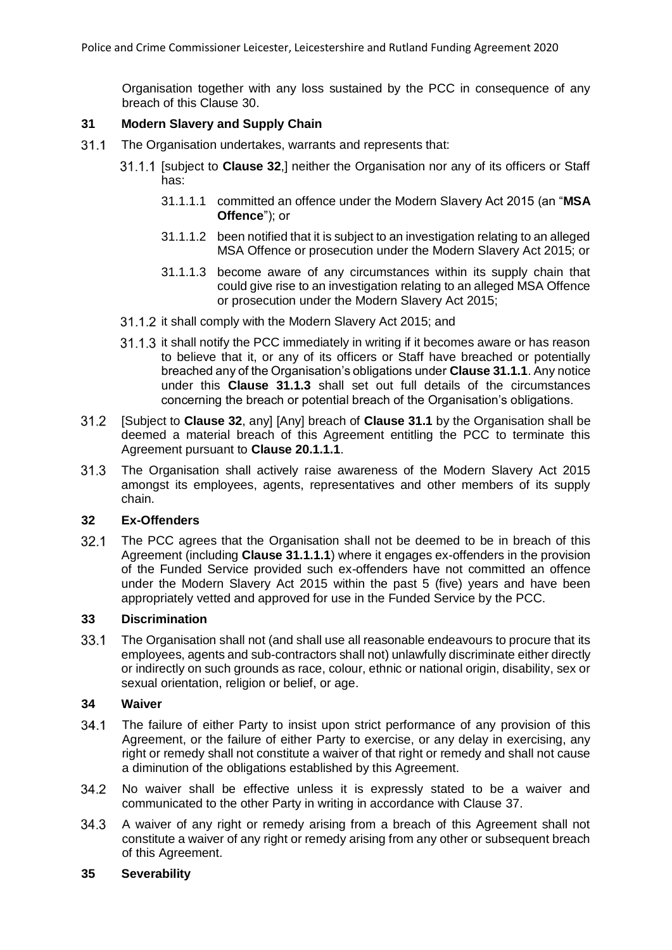Organisation together with any loss sustained by the PCC in consequence of any breach of this Clause [30.](#page-14-3)

### **31 Modern Slavery and Supply Chain**

- <span id="page-15-4"></span><span id="page-15-3"></span><span id="page-15-1"></span> $31.1$ The Organisation undertakes, warrants and represents that:
	- [subject to **Clause [32](#page-15-0)**,] neither the Organisation nor any of its officers or Staff has:
		- 31.1.1.1 committed an offence under the Modern Slavery Act 2015 (an "**MSA Offence**"); or
		- 31.1.1.2 been notified that it is subject to an investigation relating to an alleged MSA Offence or prosecution under the Modern Slavery Act 2015; or
		- 31.1.1.3 become aware of any circumstances within its supply chain that could give rise to an investigation relating to an alleged MSA Offence or prosecution under the Modern Slavery Act 2015;
	- 31.1.2 it shall comply with the Modern Slavery Act 2015; and
	- 31.1.3 it shall notify the PCC immediately in writing if it becomes aware or has reason to believe that it, or any of its officers or Staff have breached or potentially breached any of the Organisation's obligations under **Claus[e 31.1.1](#page-15-1)**. Any notice under this **Clause [31.1.3](#page-15-2)** shall set out full details of the circumstances concerning the breach or potential breach of the Organisation's obligations.
- <span id="page-15-2"></span>[Subject to **Clause [32](#page-15-0)**, any] [Any] breach of **Clause [31.1](#page-15-3)** by the Organisation shall be  $31.2$ deemed a material breach of this Agreement entitling the PCC to terminate this Agreement pursuant to **Clause [20.1.1.1](#page-10-0)**.
- $31.3$ The Organisation shall actively raise awareness of the Modern Slavery Act 2015 amongst its employees, agents, representatives and other members of its supply chain.

#### <span id="page-15-0"></span>**32 Ex-Offenders**

 $32.1$ The PCC agrees that the Organisation shall not be deemed to be in breach of this Agreement (including **Clause [31.1.1.1](#page-15-4)**) where it engages ex-offenders in the provision of the Funded Service provided such ex-offenders have not committed an offence under the Modern Slavery Act 2015 within the past 5 (five) years and have been appropriately vetted and approved for use in the Funded Service by the PCC.

#### **33 Discrimination**

 $33.1$ The Organisation shall not (and shall use all reasonable endeavours to procure that its employees, agents and sub-contractors shall not) unlawfully discriminate either directly or indirectly on such grounds as race, colour, ethnic or national origin, disability, sex or sexual orientation, religion or belief, or age.

#### **34 Waiver**

- $34.1$ The failure of either Party to insist upon strict performance of any provision of this Agreement, or the failure of either Party to exercise, or any delay in exercising, any right or remedy shall not constitute a waiver of that right or remedy and shall not cause a diminution of the obligations established by this Agreement.
- 34.2 No waiver shall be effective unless it is expressly stated to be a waiver and communicated to the other Party in writing in accordance with Clause [37.](#page-16-0)
- $34.3$ A waiver of any right or remedy arising from a breach of this Agreement shall not constitute a waiver of any right or remedy arising from any other or subsequent breach of this Agreement.

#### **35 Severability**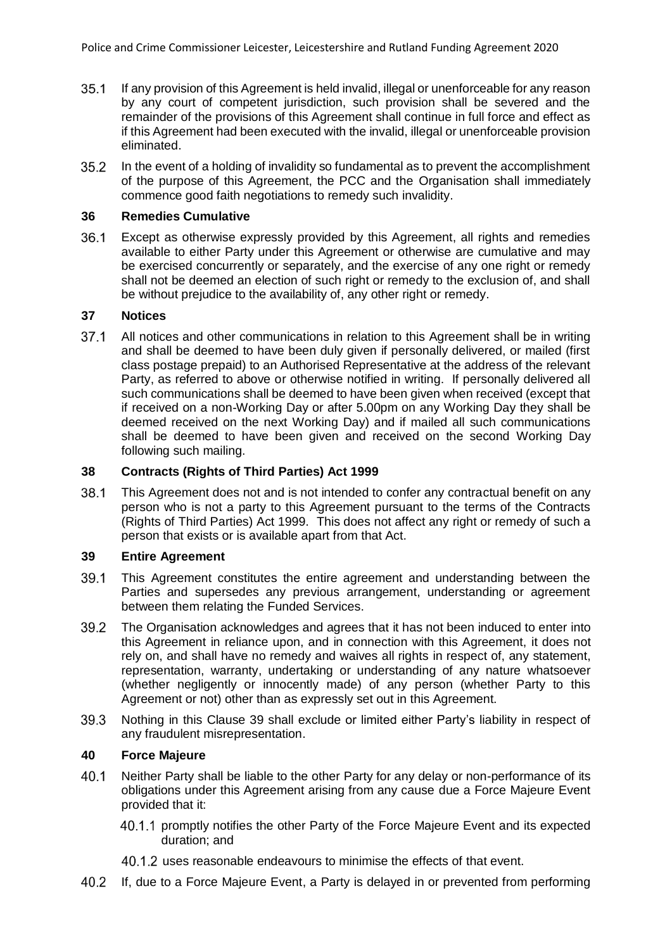- $35.1$ If any provision of this Agreement is held invalid, illegal or unenforceable for any reason by any court of competent jurisdiction, such provision shall be severed and the remainder of the provisions of this Agreement shall continue in full force and effect as if this Agreement had been executed with the invalid, illegal or unenforceable provision eliminated.
- $35.2$ In the event of a holding of invalidity so fundamental as to prevent the accomplishment of the purpose of this Agreement, the PCC and the Organisation shall immediately commence good faith negotiations to remedy such invalidity.

# **36 Remedies Cumulative**

 $36.1$ Except as otherwise expressly provided by this Agreement, all rights and remedies available to either Party under this Agreement or otherwise are cumulative and may be exercised concurrently or separately, and the exercise of any one right or remedy shall not be deemed an election of such right or remedy to the exclusion of, and shall be without prejudice to the availability of, any other right or remedy.

# <span id="page-16-0"></span>**37 Notices**

 $37.1$ All notices and other communications in relation to this Agreement shall be in writing and shall be deemed to have been duly given if personally delivered, or mailed (first class postage prepaid) to an Authorised Representative at the address of the relevant Party, as referred to above or otherwise notified in writing. If personally delivered all such communications shall be deemed to have been given when received (except that if received on a non-Working Day or after 5.00pm on any Working Day they shall be deemed received on the next Working Day) and if mailed all such communications shall be deemed to have been given and received on the second Working Day following such mailing.

# **38 Contracts (Rights of Third Parties) Act 1999**

 $38.1$ This Agreement does not and is not intended to confer any contractual benefit on any person who is not a party to this Agreement pursuant to the terms of the Contracts (Rights of Third Parties) Act 1999. This does not affect any right or remedy of such a person that exists or is available apart from that Act.

## <span id="page-16-1"></span>**39 Entire Agreement**

- 39.1 This Agreement constitutes the entire agreement and understanding between the Parties and supersedes any previous arrangement, understanding or agreement between them relating the Funded Services.
- 39.2 The Organisation acknowledges and agrees that it has not been induced to enter into this Agreement in reliance upon, and in connection with this Agreement, it does not rely on, and shall have no remedy and waives all rights in respect of, any statement, representation, warranty, undertaking or understanding of any nature whatsoever (whether negligently or innocently made) of any person (whether Party to this Agreement or not) other than as expressly set out in this Agreement.
- 39.3 Nothing in this Clause [39](#page-16-1) shall exclude or limited either Party's liability in respect of any fraudulent misrepresentation.

# **40 Force Majeure**

- $40.1$ Neither Party shall be liable to the other Party for any delay or non-performance of its obligations under this Agreement arising from any cause due a Force Majeure Event provided that it:
	- 40.1.1 promptly notifies the other Party of the Force Majeure Event and its expected duration; and
	- 40.1.2 uses reasonable endeavours to minimise the effects of that event.
- 40.2 If, due to a Force Majeure Event, a Party is delayed in or prevented from performing